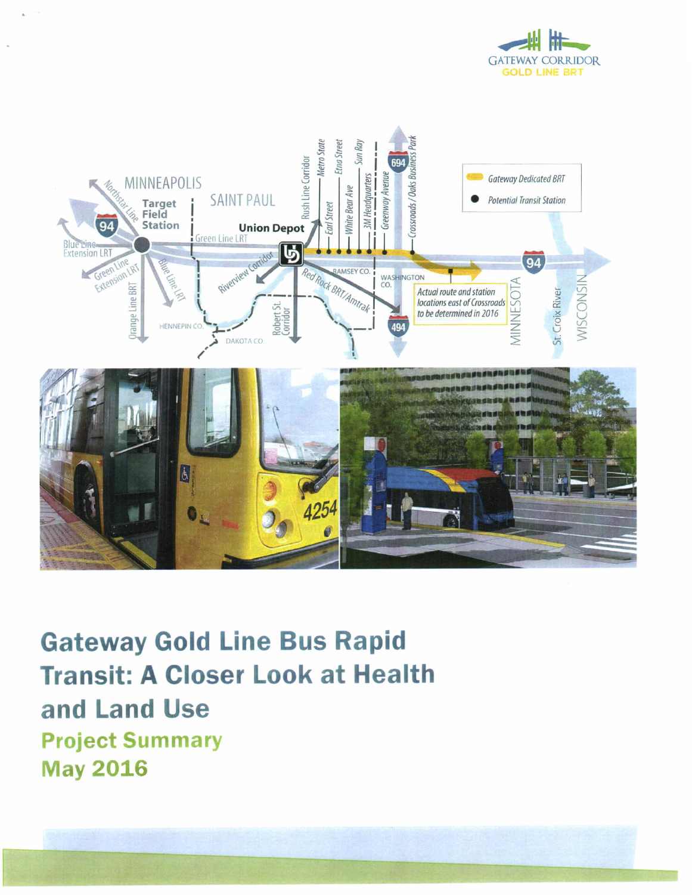



**Gateway Gold Line Bus Rapid Transit: A Closer Look at Health** and Land Use **Project Summary May 2016**